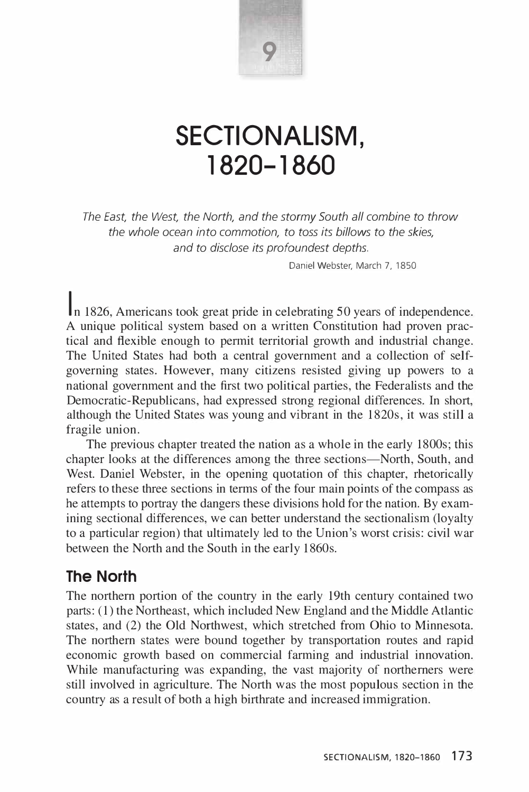

# **SECTIONALISM, 1820-1860**

*The East, the West, the North, and the stormy South all combine to throw the whole ocean into commotion, to toss its billows to the skies, and to disclose its profoundest depths.* 

Daniel Webster, March 7, 1850

In 1826, Americans took great pride in celebrating 50 years of independence. A unique political system based on a written Constitution had proven practical and flexible enough to permit territorial growth and industrial change. The United States had both a central government and a collection of selfgoverning states. However, many citizens resisted giving up powers to a national government and the first two political parties, the Federalists and the Democratic-Republicans, had expressed strong regional differences. In short, although the United States was young and vibrant in the 1820s, it was still a fragile union.

The previous chapter treated the nation as a whole in the early 1800s; this chapter looks at the differences among the three sections-North, South, and West. Daniel Webster, in the opening quotation of this chapter, rhetorically refers to these three sections in terms of the four main points of the compass as he attempts to portray the dangers these divisions hold for the nation. By examining sectional differences, we can better understand the sectionalism (loyalty to a particular region) that ultimately led to the Union's worst crisis: civil war between the North and the South in the early 1860s.

# **The North**

The northern portion of the country in the early 19th century contained two parts: (1) the Northeast, which included New England and the Middle Atlantic states, and (2) the Old Northwest, which stretched from Ohio to Minnesota. The northern states were bound together by transportation routes and rapid economic growth based on commercial farming and industrial innovation. While manufacturing was expanding, the vast majority of northerners were still involved in agriculture. The North was the most populous section in the country as a result of both a high birthrate and increased immigration.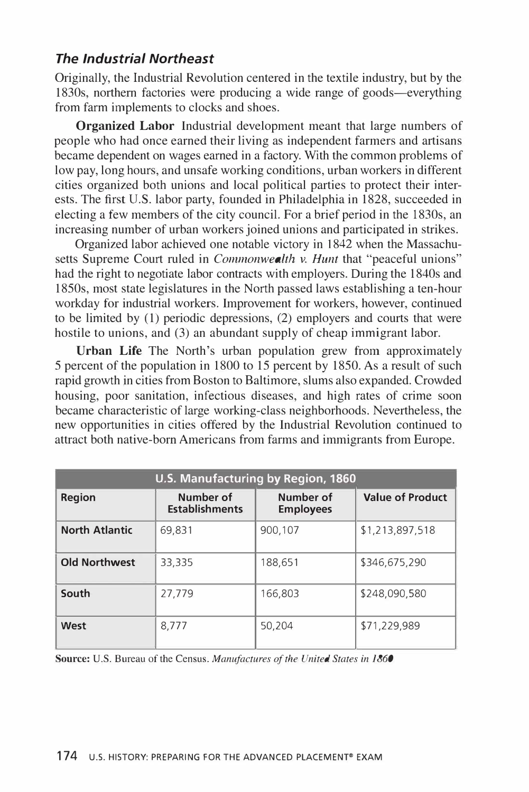# *The Industrial Northeast*

Originally, the Industrial Revolution centered in the textile industry, but by the 1830s, northern factories were producing a wide range of goods—everything from farm implements to clocks and shoes.

**Organized Labor** Industrial development meant that large numbers of people who had once earned their living as independent farmers and artisans became dependent on wages earned in a factory. With the common problems of low pay, long hours, and unsafe working conditions, urban workers in different cities organized both unions and local political parties to protect their interests. The first U.S. labor party, founded in Philadelphia in 1828, succeeded in electing a few members of the city council. For a brief period in the 1830s, an increasing number of urban workers joined unions and participated in strikes.

Organized labor achieved one notable victory in 1842 when the Massachusetts Supreme Court ruled in *Commonwealth v. Hunt* that "peaceful unions" had the right to negotiate labor contracts with employers. During the 1840s and 1850s, most state legislatures in the North passed laws establishing a ten-hour workday for industrial workers. Improvement for workers, however, continued to be limited by (1) periodic depressions, (2) employers and courts that were hostile to unions, and (3) an abundant supply of cheap immigrant labor.

**Urban Life** The North's urban population grew from approximately 5 percent of the population in 1800 to 15 percent by 1850. As a result of such rapid growth in cities from Boston to Baltimore, slums also expanded. Crowded housing, poor sanitation, infectious diseases, and high rates of crime soon became characteristic of large working-class neighborhoods. Nevertheless, the new opportunities in cities offered by the Industrial Revolution continued to attract both native-born Americans from farms and immigrants from Europe.

| U.S. Manufacturing by Region, 1860 |                                    |                               |                         |  |  |  |
|------------------------------------|------------------------------------|-------------------------------|-------------------------|--|--|--|
| <b>Region</b>                      | Number of<br><b>Establishments</b> | Number of<br><b>Employees</b> | <b>Value of Product</b> |  |  |  |
| <b>North Atlantic</b>              | 69,831                             | 900,107                       | \$1,213,897,518         |  |  |  |
| <b>Old Northwest</b>               | 33,335                             | 188,651                       | \$346,675,290           |  |  |  |
| South                              | 27,779                             | 166,803                       | \$248,090,580           |  |  |  |
| West                               | 8,777                              | 50,204                        | \$71,229,989            |  |  |  |

**Source:** U.S. Bureau of the Census. *Manufactures of the United States in 1860*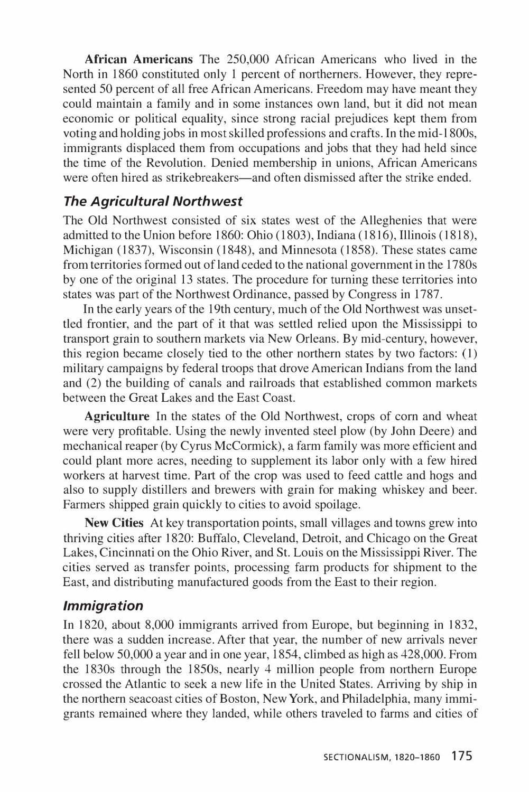**African Americans** The 250,000 African Americans who lived in the North in 1860 constituted only 1 percent of northerners. However, they represented 50 percent of all free African Americans. Freedom may have meant they could maintain a family and in some instances own land, but it did not mean economic or political equality, since strong racial prejudices kept them from voting and holding jobs in most skilled professions and crafts. In the mid-l 800s, immigrants displaced them from occupations and jobs that they had held since the time of the Revolution. Denied membership in unions, African Americans were often hired as strikebreakers—and often dismissed after the strike ended.

# *The Agricultural Northwest*

The Old Northwest consisted of six states west of the Alleghenies that were admitted to the Union before 1860: Ohio (1803), Indiana (1816), Illinois (1818), Michigan (1837), Wisconsin (1848), and Minnesota (1858). These states came from territories formed out of land ceded to the national government in the 1780s by one of the original 13 states. The procedure for turning these territories into states was part of the Northwest Ordinance, passed by Congress in 1787.

In the early years of the 19th century, much of the Old Northwest was unsettled frontier, and the part of it that was settled relied upon the Mississippi to transport grain to southern markets via New Orleans. By mid-century, however, this region became closely tied to the other northern states by two factors: (1) military campaigns by federal troops that drove American Indians from the land and (2) the building of canals and railroads that established common markets between the Great Lakes and the East Coast.

**Agriculture** In the states of the Old Northwest, crops of corn and wheat were very profitable. Using the newly invented steel plow (by John Deere) and mechanical reaper (by Cyrus McCormick), a farm family was more efficient and could plant more acres, needing to supplement its labor only with a few hired workers at harvest time. Part of the crop was used to feed cattle and hogs and also to supply distillers and brewers with grain for making whiskey and beer. Farmers shipped grain quickly to cities to avoid spoilage.

**New Cities** At key transportation points, small villages and towns grew into thriving cities after 1820: Buffalo, Cleveland, Detroit, and Chicago on the Great Lakes, Cincinnati on the Ohio River, and St. Louis on the Mississippi River. The cities served as transfer points, processing farm products for shipment to the East, and distributing manufactured goods from the East to their region.

### *Immigration*

In 1820, about 8,000 immigrants arrived from Europe, but beginning in 1832, there was a sudden increase. After that year, the number of new arrivals never fell below 50,000 a year and in one year, 1854, climbed as high as 428,000. From the 1830s through the 1850s, nearly 4 million people from northern Europe crossed the Atlantic to seek a new life in the United States. Arriving by ship in the northern seacoast cities of Boston, New York, and Philadelphia, many immigrants remained where they landed, while others traveled to farms and cities of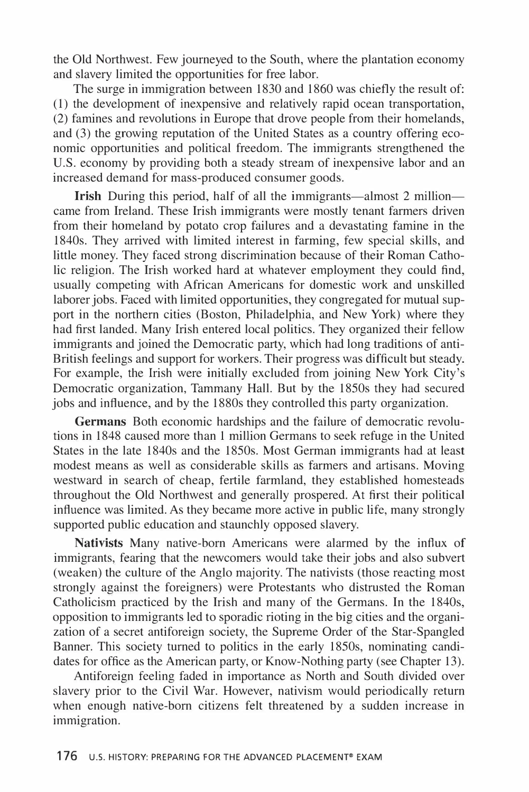the Old Northwest. Few journeyed to the South, where the plantation economy and slavery limited the opportunities for free labor.

The surge in immigration between 1830 and 1860 was chiefly the result of: (1) the development of inexpensive and relatively rapid ocean transportation, (2) famines and revolutions in Europe that drove people from their homelands, and (3) the growing reputation of the United States as a country offering economic opportunities and political freedom. The immigrants strengthened the U.S. economy by providing both a steady stream of inexpensive labor and an increased demand for mass-produced consumer goods.

**Irish** During this period, half of all the immigrants—almost 2 million came from Ireland. These Irish immigrants were mostly tenant farmers driven from their homeland by potato crop failures and a devastating famine in the 1840s. They arrived with limited interest in farming, few special skills, and little money. They faced strong discrimination because of their Roman Catholic religion. The Irish worked hard at whatever employment they could find, usually competing with African Americans for domestic work and unskilled laborer jobs. Faced with limited opportunities, they congregated for mutual support in the northern cities (Boston, Philadelphia, and New York) where they had first landed. Many Irish entered local politics. They organized their fellow immigrants and joined the Democratic party, which had long traditions of anti-British feelings and support for workers. Their progress was difficult but steady. For example, the Irish were initially excluded from joining New York City's Democratic organization, Tammany Hall. But by the 1850s they had secured jobs and influence, and by the 1880s they controlled this party organization.

**Germans** Both economic hardships and the failure of democratic revolutions in 1848 caused more than 1 million Germans to seek refuge in the United States in the late 1840s and the 1850s. Most German immigrants had at least modest means as well as considerable skills as farmers and artisans. Moving westward in search of cheap, fertile farmland, they established homesteads throughout the Old Northwest and generally prospered. At first their political influence was limited. As they became more active in public life, many strongly supported public education and staunchly opposed slavery.

**Nativists** Many native-born Americans were alarmed by the influx of immigrants, fearing that the newcomers would take their jobs and also subvert (weaken) the culture of the Anglo majority. The nativists (those reacting most strongly against the foreigners) were Protestants who distrusted the Roman Catholicism practiced by the Irish and many of the Germans. In the 1840s, opposition to immigrants led to sporadic rioting in the big cities and the organization of a secret antiforeign society, the Supreme Order of the Star-Spangled Banner. This society turned to politics in the early 1850s, nominating candidates for office as the American party, or Know-Nothing party (see Chapter 13).

Antiforeign feeling faded in importance as North and South divided over slavery prior to the Civil War. However, nativism would periodically return when enough native-born citizens felt threatened by a sudden increase in immigration.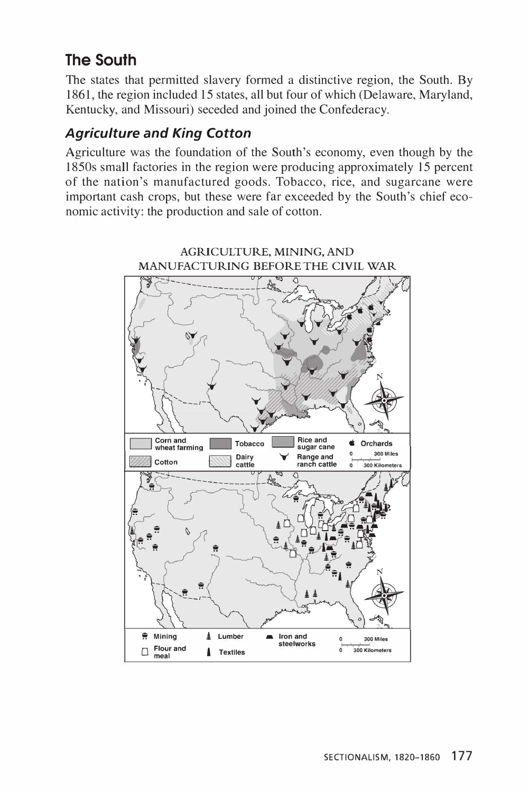# **The South**

The states that permitted slavery formed a distinctive region, the South. By 1861, the region included 15 states, all but four of which (Delaware, Maryland, Kentucky, and Missouri) seceded and joined the Confederacy.

# *Agriculture and King Cotton*

Agriculture was the foundation of the South's economy, even though by the 1850s small factories in the region were producing approximately 15 percent of the nation's manufactured goods. Tobacco, rice, and sugarcane were important cash crops, but these were far exceeded by the South's chief economic activity: the production and sale of cotton.

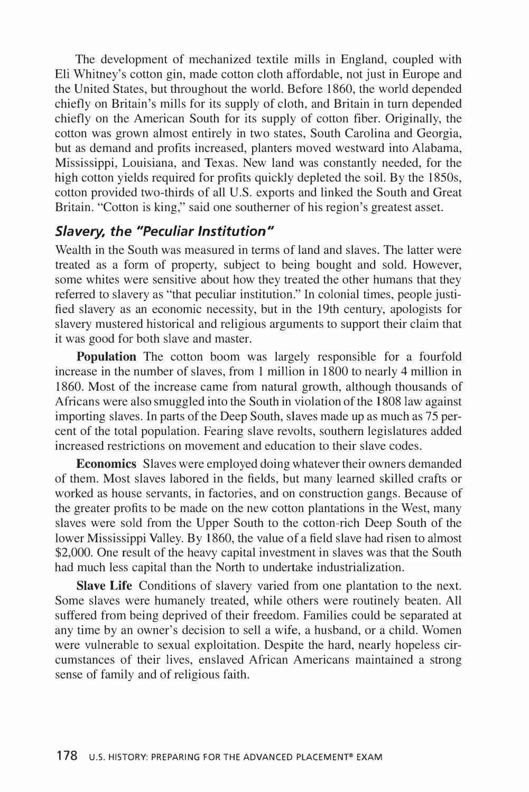The development of mechanized textile mills in England, coupled with Eli Whitney's cotton gin, made cotton cloth affordable, not just in Europe and the United States, but throughout the world. Before 1860, the world depended chiefly on Britain's mills for its supply of cloth, and Britain in turn depended chiefly on the American South for its supply of cotton fiber. Originally, the cotton was grown almost entirely in two states, South Carolina and Georgia, but as demand and profits increased, planters moved westward into Alabama, Mississippi, Louisiana, and Texas. New land was constantly needed, for the high cotton yields required for profits quickly depleted the soil. By the 1850s, cotton provided two-thirds of all U.S. exports and linked the South and Great Britain. "Cotton is king," said one southerner of his region's greatest asset.

# *Slavery, the <sup>11</sup> Peculiar lnstitution <sup>11</sup>*

Wealth in the South was measured in terms of land and slaves. The latter were treated as a form of property, subject to being bought and sold. However, some whites were sensitive about how they treated the other humans that they referred to slavery as "that peculiar institution." In colonial times, people justified slavery as an economic necessity, but in the 19th century, apologists for slavery mustered historical and religious arguments to support their claim that it was good for both slave and master.

**Population** The cotton boom was largely responsible for a fourfold increase in the number of slaves, from 1 million in 1800 to nearly 4 million in 1860. Most of the increase came from natural growth, although thousands of Africans were also smuggled into the South in violation of the 1808 law against importing slaves. In parts of the Deep South, slaves made up as much as 75 percent of the total population. Fearing slave revolts, southern legislatures added increased restrictions on movement and education to their slave codes.

**Economics** Slaves were employed doing whatever their owners demanded of them. Most slaves labored in the fields, but many learned skilled crafts or worked as house servants, in factories, and on construction gangs. Because of the greater profits to be made on the new cotton plantations in the West, many slaves were sold from the Upper South to the cotton-rich Deep South of the lower Mississippi Valley. By 1860, the value of a field slave had risen to almost \$2,000. One result of the heavy capital investment in slaves was that the South had much less capital than the North to undertake industrialization.

**Slave Life** Conditions of slavery varied from one plantation to the next. Some slaves were humanely treated, while others were routinely beaten. All suffered from being deprived of their freedom. Families could be separated at any time by an owner's decision to sell a wife, a husband, or a child. Women were vulnerable to sexual exploitation. Despite the hard, nearly hopeless circumstances of their lives, enslaved African Americans maintained a strong sense of family and of religious faith.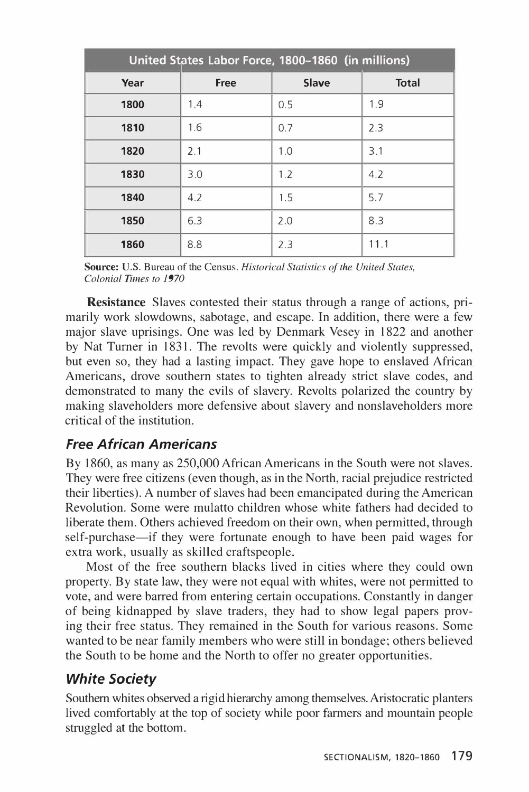| United States Labor Force, 1800-1860 (in millions) |             |              |              |  |  |  |
|----------------------------------------------------|-------------|--------------|--------------|--|--|--|
| Year                                               | <b>Free</b> | <b>Slave</b> | <b>Total</b> |  |  |  |
| 1800                                               | 1.4         | 0.5          | 1.9          |  |  |  |
| 1810                                               | 1.6         | 0.7          | 2.3          |  |  |  |
| 1820                                               | 2.1         | 1.0          | 3.1          |  |  |  |
| 1830                                               | 3.0         | 1.2          | 4.2          |  |  |  |
| 1840                                               | 4.2         | 1.5          | 5.7          |  |  |  |
| 1850                                               | 6.3         | 2.0          | 8.3          |  |  |  |
| 1860                                               | 8.8         | 2.3          | 11.1         |  |  |  |

**Source:** U.S. Bureau of the Census. *Historical Statistics of the United States, Colonial Times to 1970* 

**Resistance** Slaves contested their status through a range of actions, primarily work slowdowns, sabotage, and escape. In addition, there were a few major slave uprisings. One was led by Denmark Vesey in 1822 and another by Nat Turner in 1831. The revolts were quickly and violently suppressed, but even so, they had a lasting impact. They gave hope to enslaved African Americans, drove southern states to tighten already strict slave codes, and demonstrated to many the evils of slavery. Revolts polarized the country by making slaveholders more defensive about slavery and nonslaveholders more critical of the institution.

# *Free African Americans*

By 1860, as many as 250,000 African Americans in the South were not slaves. They were free citizens (even though, as in the North, racial prejudice restricted their liberties). A number of slaves had been emancipated during the American Revolution. Some were mulatto children whose white fathers had decided to liberate them. Others achieved freedom on their own, when permitted, through self-purchase—if they were fortunate enough to have been paid wages for extra work, usually as skilled craftspeople.

Most of the free southern blacks lived in cities where they could own property. By state law, they were not equal with whites, were not permitted to vote, and were barred from entering certain occupations. Constantly in danger of being kidnapped by slave traders, they had to show legal papers proving their free status. They remained in the South for various reasons. Some wanted to be near family members who were still in bondage; others believed the South to be home and the North to offer no greater opportunities.

# *White Society*

Southern whites observed a rigid hierarchy among themselves. Aristocratic planters lived comfortably at the top of society while poor farmers and mountain people struggled at the bottom.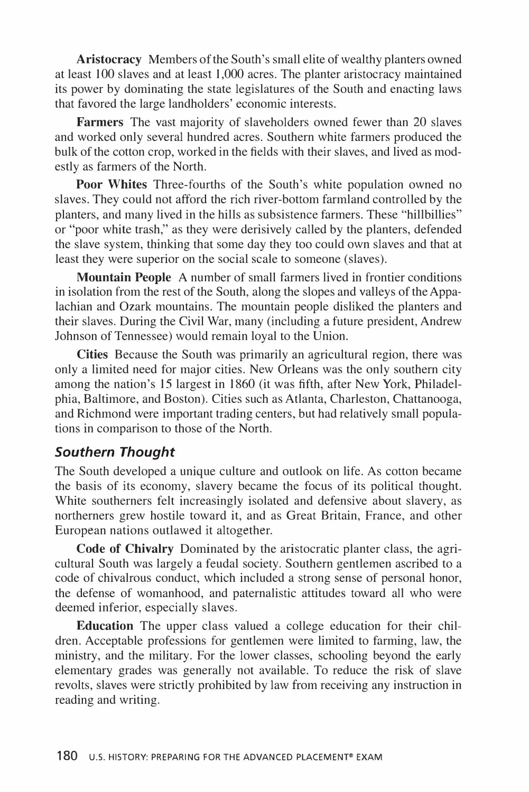**Aristocracy** Members of the South's small elite of wealthy planters owned at least 100 slaves and at least 1,000 acres. The planter aristocracy maintained its power by dominating the state legislatures of the South and enacting laws that favored the large landholders' economic interests.

**Farmers** The vast majority of slaveholders owned fewer than 20 slaves and worked only several hundred acres. Southern white farmers produced the bulk of the cotton crop, worked in the fields with their slaves, and lived as modestly as farmers of the North.

**Poor Whites** Three-fourths of the South's white population owned no slaves. They could not afford the rich river-bottom farmland controlled by the planters, and many lived in the hills as subsistence farmers. These "hillbillies" or "poor white trash," as they were derisively called by the planters, defended the slave system, thinking that some day they too could own slaves and that at least they were superior on the social scale to someone (slaves).

**Mountain People** A number of small farmers lived in frontier conditions in isolation from the rest of the South, along the slopes and valleys of the Appalachian and Ozark mountains. The mountain people disliked the planters and their slaves. During the Civil War, many (including a future president, Andrew Johnson of Tennessee) would remain loyal to the Union.

**Cities** Because the South was primarily an agricultural region, there was only a limited need for major cities. New Orleans was the only southern city among the nation's 15 largest in 1860 (it was fifth, after New York, Philadelphia, Baltimore, and Boston). Cities such as Atlanta, Charleston, Chattanooga, and Richmond were important trading centers, but had relatively small populations in comparison to those of the North.

### *Southern Thought*

The South developed a unique culture and outlook on life. As cotton became the basis of its economy, slavery became the focus of its political thought. White southerners felt increasingly isolated and defensive about slavery, as northerners grew hostile toward it, and as Great Britain, France, and other European nations outlawed it altogether.

**Code of Chivalry** Dominated by the aristocratic planter class, the agricultural South was largely a feudal society. Southern gentlemen ascribed to a code of chivalrous conduct, which included a strong sense of personal honor, the defense of womanhood, and paternalistic attitudes toward all who were deemed inferior, especially slaves.

**Education** The upper class valued a college education for their children. Acceptable professions for gentlemen were limited to farming, law, the ministry, and the military. For the lower classes, schooling beyond the early elementary grades was generally not available. To reduce the risk of slave revolts, slaves were strictly prohibited by law from receiving any instruction in reading and writing.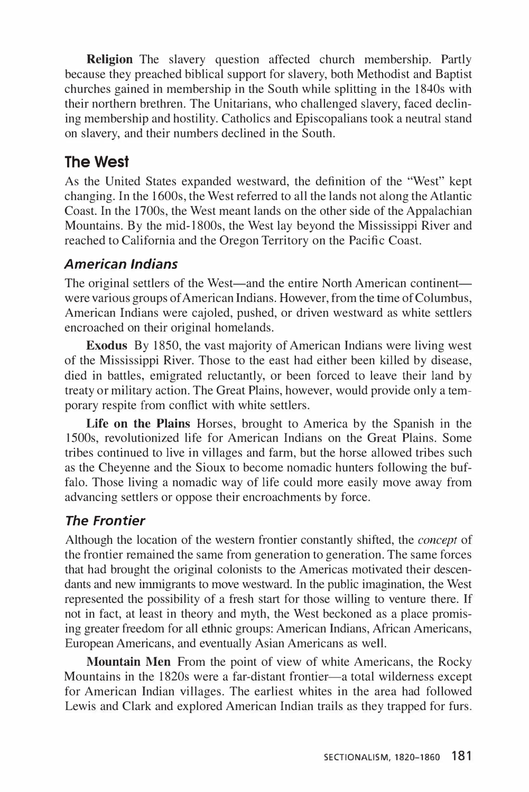**Religion** The slavery question affected church membership. Partly because they preached biblical support for slavery, both Methodist and Baptist churches gained in membership in the South while splitting in the 1840s with their northern brethren. The Unitarians, who challenged slavery, faced declining membership and hostility. Catholics and Episcopalians took a neutral stand on slavery, and their numbers declined in the South.

# **The West**

As the United States expanded westward, the definition of the "West" kept changing. In the 1600s, the West referred to all the lands not along the Atlantic Coast. In the 1700s, the West meant lands on the other side of the Appalachian Mountains. By the mid-I800s, the West lay beyond the Mississippi River and reached to California and the Oregon Territory on the Pacific Coast.

# *American Indians*

The original settlers of the West—and the entire North American continent were various groups of American Indians. However, from the time of Columbus, American Indians were cajoled, pushed, or driven westward as white settlers encroached on their original homelands.

**Exodus** By 1850, the vast majority of American Indians were living west of the Mississippi River. Those to the east had either been killed by disease, died in battles, emigrated reluctantly, or been forced to leave their land by treaty or military action. The Great Plains, however, would provide only a temporary respite from conflict with white settlers.

**Life on the Plains** Horses, brought to America by the Spanish in the 1500s, revolutionized life for American Indians on the Great Plains. Some tribes continued to live in villages and farm, but the horse allowed tribes such as the Cheyenne and the Sioux to become nomadic hunters following the buffalo. Those living a nomadic way of life could more easily move away from advancing settlers or oppose their encroachments by force.

# *The Frontier*

Although the location of the western frontier constantly shifted, the *concept* of the frontier remained the same from generation to generation. The same forces that had brought the original colonists to the Americas motivated their descendants and new immigrants to move westward. In the public imagination, the West represented the possibility of a fresh start for those willing to venture there. If not in fact, at least in theory and myth, the West beckoned as a place promising greater freedom for all ethnic groups: American Indians, African Americans, European Americans, and eventually Asian Americans as well.

**Mountain Men** From the point of view of white Americans, the Rocky Mountains in the 1820s were a far-distant frontier—a total wilderness except for American Indian villages. The earliest whites in the area had followed Lewis and Clark and explored American Indian trails as they trapped for furs.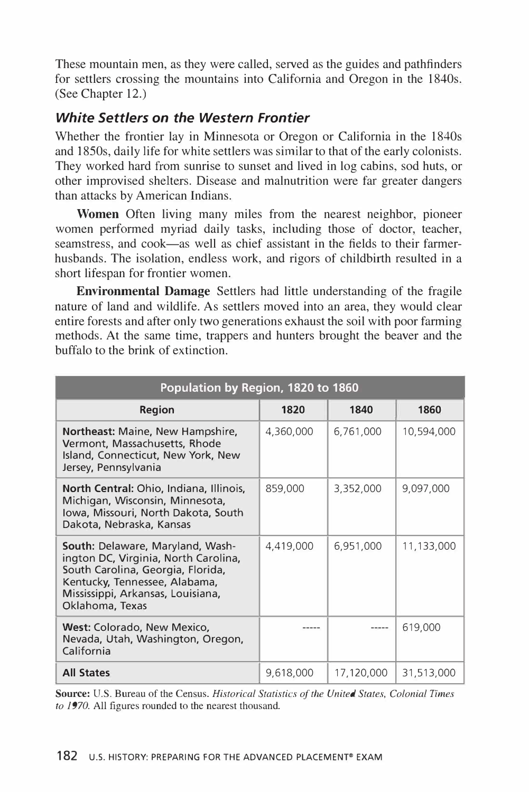These mountain men, as they were called, served as the guides and pathfinders for settlers crossing the mountains into California and Oregon in the 1840s. (See Chapter 12.)

# *White Settlers on the Western Frontier*

Whether the frontier lay in Minnesota or Oregon or California in the 1840s and 1850s, daily life for white settlers was similar to that of the early colonists. They worked hard from sunrise to sunset and lived in log cabins, sod huts, or other improvised shelters. Disease and malnutrition were far greater dangers than attacks by American Indians.

**Women** Often living many miles from the nearest neighbor, pioneer women performed myriad daily tasks, including those of doctor, teacher, seamstress, and cook-as well as chief assistant in the fields to their farmerhusbands. The isolation, endless work, and rigors of childbirth resulted in a short lifespan for frontier women.

**Environmental Damage** Settlers had little understanding of the fragile nature of land and wildlife. As settlers moved into an area, they would clear entire forests and after only two generations exhaust the soil with poor farming methods. At the same time, trappers and hunters brought the beaver and the buffalo to the brink of extinction.

| Population by Region, 1820 to 1860                                                                                                                                                                     |           |            |            |  |  |  |  |
|--------------------------------------------------------------------------------------------------------------------------------------------------------------------------------------------------------|-----------|------------|------------|--|--|--|--|
| <b>Region</b>                                                                                                                                                                                          | 1820      | 1840       | 1860       |  |  |  |  |
| Northeast: Maine, New Hampshire,<br>Vermont, Massachusetts, Rhode<br>Island, Connecticut, New York, New<br>Jersey, Pennsylvania                                                                        | 4,360,000 | 6,761,000  | 10,594,000 |  |  |  |  |
| North Central: Ohio, Indiana, Illinois,<br>Michigan, Wisconsin, Minnesota,<br>Iowa, Missouri, North Dakota, South<br>Dakota, Nebraska, Kansas                                                          | 859,000   | 3,352,000  | 9,097,000  |  |  |  |  |
| South: Delaware, Maryland, Wash-<br>ington DC, Virginia, North Carolina,<br>South Carolina, Georgia, Florida,<br>Kentucky, Tennessee, Alabama,<br>Mississippi, Arkansas, Louisiana,<br>Oklahoma, Texas | 4,419,000 | 6,951,000  | 11,133,000 |  |  |  |  |
| West: Colorado, New Mexico,<br>Nevada, Utah, Washington, Oregon,<br>California                                                                                                                         |           |            | 619,000    |  |  |  |  |
| <b>All States</b>                                                                                                                                                                                      | 9,618,000 | 17,120,000 | 31,513,000 |  |  |  |  |

**Source:** U.S. Bureau of the Census. *Historical Statistics of the United States, Colonial Times to 1970.* All figures rounded to the nearest thousand.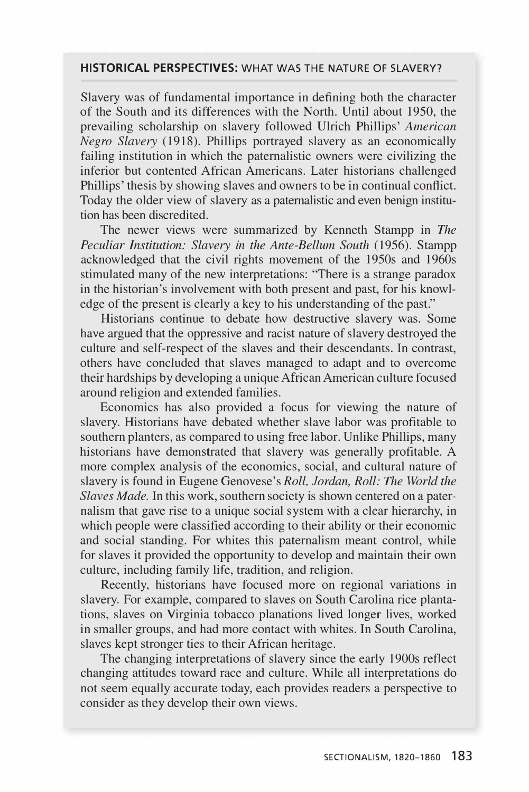#### **HISTORICAL PERSPECTIVES:** WHAT WAS THE NATURE OF SLAVERY?

Slavery was of fundamental importance in defining both the character of the South and its differences with the North. Until about 1950, the prevailing scholarship on slavery followed Ulrich Phillips' *American Negro Slavery* (1918). Phillips portrayed slavery as an economically failing institution in which the paternalistic owners were civilizing the inferior but contented African Americans. Later historians challenged Phillips' thesis by showing slaves and owners to be in continual conflict. Today the older view of slavery as a paternalistic and even benign institution has been discredited.

The newer views were summarized by Kenneth Stampp in *The Peculiar Institution: Slavery in the Ante-Bellum South* (1956). Stampp acknowledged that the civil rights movement of the 1950s and 1960s stimulated many of the new interpretations: "There is a strange paradox in the historian's involvement with both present and past, for his knowledge of the present is clearly a key to his understanding of the past."

Historians continue to debate how destructive slavery was. Some have argued that the oppressive and racist nature of slavery destroyed the culture and self-respect of the slaves and their descendants. In contrast, others have concluded that slaves managed to adapt and to overcome their hardships by developing a unique African American culture focused around religion and extended families.

Economics has also provided a focus for viewing the nature of slavery. Historians have debated whether slave labor was profitable to southern planters, as compared to using free labor. Unlike Phillips, many historians have demonstrated that slavery was generally profitable. A more complex analysis of the economics, social, and cultural nature of slavery is found in Eugene Genovese's *Roll, Jordan, Roll: The World the Slaves Made.* In this work, southern society is shown centered on a paternalism that gave rise to a unique social system with a clear hierarchy, in which people were classified according to their ability or their economic and social standing. For whites this paternalism meant control, while for slaves it provided the opportunity to develop and maintain their own culture, including family life, tradition, and religion.

Recently, historians have focused more on regional variations in slavery. For example, compared to slaves on South Carolina rice plantations, slaves on Virginia tobacco planations lived longer lives, worked in smaller groups, and had more contact with whites. In South Carolina, slaves kept stronger ties to their African heritage.

The changing interpretations of slavery since the early 1900s reflect changing attitudes toward race and culture. While all interpretations do not seem equally accurate today, each provides readers a perspective to consider as they develop their own views.